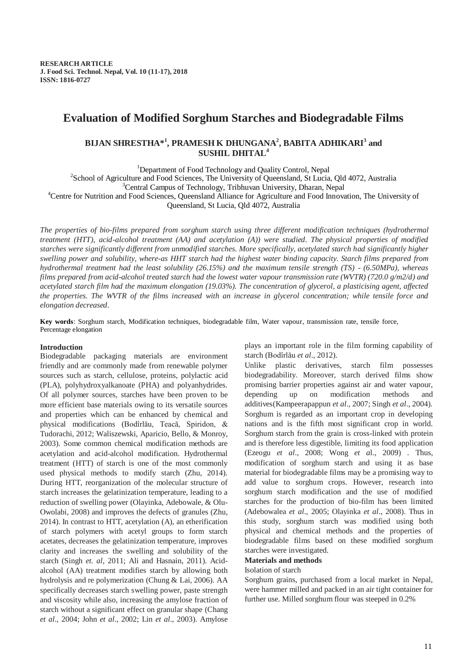# **Evaluation of Modified Sorghum Starches and Biodegradable Films**

# **BIJAN SHRESTHA\* 1 , PRAMESH K DHUNGANA<sup>2</sup> , BABITA ADHIKARI<sup>3</sup> and SUSHIL DHITAL<sup>4</sup>**

<sup>1</sup>Department of Food Technology and Quality Control, Nepal

<sup>2</sup>School of Agriculture and Food Sciences, The University of Queensland, St Lucia, Qld 4072, Australia

<sup>3</sup>Central Campus of Technology, Tribhuvan University, Dharan, Nepal

<sup>4</sup>Centre for Nutrition and Food Sciences, Queensland Alliance for Agriculture and Food Innovation, The University of

Queensland, St Lucia, Qld 4072, Australia

*The properties of bio-films prepared from sorghum starch using three different modification techniques (hydrothermal treatment (HTT), acid-alcohol treatment (AA) and acetylation (A)) were studied. The physical properties of modified starches were significantly different from unmodified starches. More specifically, acetylated starch had significantly higher swelling power and solubility, where-as HHT starch had the highest water binding capacity. Starch films prepared from hydrothermal treatment had the least solubility (26.15%) and the maximum tensile strength (TS) - (6.50MPa), whereas films prepared from acid-alcohol treated starch had the lowest water vapour transmission rate (WVTR) (720.0 g/m2/d) and acetylated starch film had the maximum elongation (19.03%). The concentration of glycerol, a plasticising agent, affected the properties. The WVTR of the films increased with an increase in glycerol concentration; while tensile force and elongation decreased.* 

**Key words**: Sorghum starch, Modification techniques, biodegradable film, Water vapour, transmission rate, tensile force, Percentage elongation

#### **Introduction**

Biodegradable packaging materials are environment friendly and are commonly made from renewable polymer sources such as starch, cellulose, proteins, polylactic acid (PLA), polyhydroxyalkanoate (PHA) and polyanhydrides. Of all polymer sources, starches have been proven to be more efficient base materials owing to its versatile sources and properties which can be enhanced by chemical and physical modifications [\(Bodîrlău, Teacă, Spiridon, &](#page-5-0)  [Tudorachi, 2012;](#page-5-0) [Waliszewski, Aparicio, Bello, & Monroy,](#page-6-0)  [2003\)](#page-6-0). Some common chemical modification methods are acetylation and acid-alcohol modification. Hydrothermal treatment (HTT) of starch is one of the most commonly used physical methods to modify starch (Zhu, 2014). During HTT, reorganization of the molecular structure of starch increases the gelatinization temperature, leading to a reduction of swelling power [\(Olayinka, Adebowale, & Olu-](#page-6-1)[Owolabi, 2008\)](#page-6-1) and improves the defects of granules (Zhu, 2014). In contrast to HTT, acetylation (A), an etherification of starch polymers with acetyl groups to form starch acetates, decreases the gelatinization temperature, improves clarity and increases the swelling and solubility of the starch (Singh *et. al*, 2011; Ali and Hasnain, 2011). Acidalcohol (AA) treatment modifies starch by allowing both hydrolysis and re polymerization [\(Chung & Lai, 2006\)](#page-5-1). AA specifically decreases starch swelling power, paste strength and viscosity while also, increasing the amylose fraction of starch without a significant effect on granular shape [\(Chang](#page-5-2)  *et al*[., 2004;](#page-5-2) John *et al*[., 2002;](#page-5-3) Lin *et al*[., 2003\)](#page-5-4). Amylose plays an important role in the film forming capability of starch [\(Bodîrlău](#page-5-0) *et al*., 2012).

Unlike plastic derivatives, starch film possesses biodegradability. Moreover, starch derived films show promising barrier properties against air and water vapour, depending up on modification methods and additives[\(Kampeerapappun](#page-5-5) *et al*., 2007; Singh *et al*[., 2004\)](#page-6-2). Sorghum is regarded as an important crop in developing nations and is the fifth most significant crop in world. Sorghum starch from the grain is cross-linked with protein and is therefore less digestible, limiting its food application (Ezeogu *et al*[., 2008;](#page-5-6) Wong *et a*[l., 2009\)](#page-6-3) . Thus, modification of sorghum starch and using it as base material for biodegradable films may be a promising way to add value to sorghum crops. However, research into sorghum starch modification and the use of modified starches for the production of bio-film has been limited [\(Adebowalea](#page-5-7) *et al*., 2005; [Olayinka](#page-6-1) *et al*., 2008). Thus in this study, sorghum starch was modified using both physical and chemical methods and the properties of biodegradable films based on these modified sorghum starches were investigated.

## **Materials and methods**

## Isolation of starch

Sorghum grains, purchased from a local market in Nepal, were hammer milled and packed in an air tight container for further use. Milled sorghum flour was steeped in 0.2%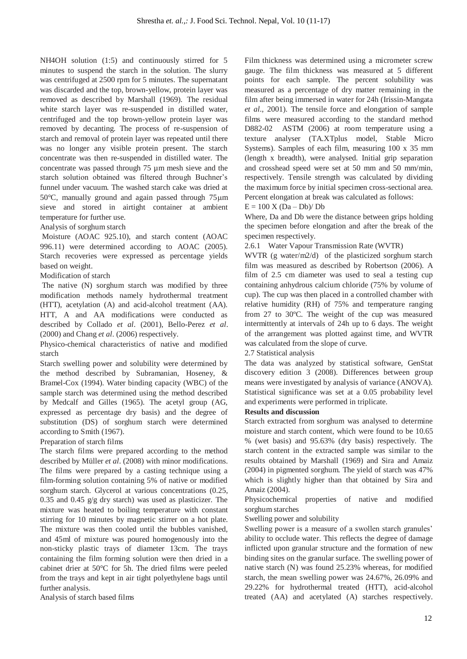NH4OH solution (1:5) and continuously stirred for 5 minutes to suspend the starch in the solution. The slurry was centrifuged at 2500 rpm for 5 minutes. The supernatant was discarded and the top, brown-yellow, protein layer was removed as described by Marshall [\(1969\)](#page-6-4). The residual white starch layer was re-suspended in distilled water, centrifuged and the top brown-yellow protein layer was removed by decanting. The process of re-suspension of starch and removal of protein layer was repeated until there was no longer any visible protein present. The starch concentrate was then re-suspended in distilled water. The concentrate was passed through 75 µm mesh sieve and the starch solution obtained was filtered through Buchner's funnel under vacuum. The washed starch cake was dried at 50 $^{\circ}$ C, manually ground and again passed through 75  $\mu$ m sieve and stored in airtight container at ambient temperature for further use.

### Analysis of sorghum starch

Moisture (AOAC 925.10), and starch content (AOAC 996.11) were determined according to AOAC [\(2005\)](#page-5-8). Starch recoveries were expressed as percentage yields based on weight.

Modification of starch

The native (N) sorghum starch was modified by three modification methods namely hydrothermal treatment (HTT), acetylation (A) and acid-alcohol treatment (AA). HTT, A and AA modifications were conducted as described by Collado *et al*. [\(2001\)](#page-5-9), Bello-Perez *et al*. [\(2000\)](#page-5-10) and Chang *et al*. [\(2006\)](#page-5-11) respectively.

Physico-chemical characteristics of native and modified starch

Starch swelling power and solubility were determined by the method described by Subramanian, Hoseney, & Bramel-Cox [\(1994\)](#page-6-5). Water binding capacity (WBC) of the sample starch was determined using the method described by Medcalf and Gilles [\(1965\)](#page-6-6). The acetyl group (AG, expressed as percentage dry basis) and the degree of substitution (DS) of sorghum starch were determined according to Smith [\(1967\)](#page-6-7).

Preparation of starch films

The starch films were prepared according to the method described by Müller *et al*. [\(2008\)](#page-6-8) with minor modifications. The films were prepared by a casting technique using a film-forming solution containing 5% of native or modified sorghum starch. Glycerol at various concentrations (0.25, 0.35 and 0.45 g/g dry starch) was used as plasticizer. The mixture was heated to boiling temperature with constant stirring for 10 minutes by magnetic stirrer on a hot plate. The mixture was then cooled until the bubbles vanished, and 45ml of mixture was poured homogenously into the non-sticky plastic trays of diameter 13cm. The trays containing the film forming solution were then dried in a cabinet drier at 50°C for 5h. The dried films were peeled from the trays and kept in air tight polyethylene bags until further analysis.

Analysis of starch based films

Film thickness was determined using a micrometer screw gauge. The film thickness was measured at 5 different points for each sample. The percent solubility was measured as a percentage of dry matter remaining in the film after being immersed in water for 24h [\(Irissin-Mangata](#page-5-12)  *et al*[., 2001\)](#page-5-12). The tensile force and elongation of sample films were measured according to the standard method D882-02 ASTM [\(2006\)](#page-5-13) at room temperature using a texture analyser (TA.XTplus model, Stable Micro Systems). Samples of each film, measuring 100 x 35 mm (length x breadth), were analysed. Initial grip separation and crosshead speed were set at 50 mm and 50 mm/min, respectively. Tensile strength was calculated by dividing the maximum force by initial specimen cross-sectional area. Percent elongation at break was calculated as follows:

 $E = 100$  X (Da – Db)/ Db

Where, Da and Db were the distance between grips holding the specimen before elongation and after the break of the specimen respectively.

2.6.1 Water Vapour Transmission Rate (WVTR)

WVTR (g water/m2/d) of the plasticized sorghum starch film was measured as described by [Robertson \(2006\)](#page-6-9). A film of 2.5 cm diameter was used to seal a testing cup containing anhydrous calcium chloride (75% by volume of cup). The cup was then placed in a controlled chamber with relative humidity (RH) of 75% and temperature ranging from 27 to 30ºC. The weight of the cup was measured intermittently at intervals of 24h up to 6 days. The weight of the arrangement was plotted against time, and WVTR was calculated from the slope of curve.

# 2.7 Statistical analysis

The data was analyzed by statistical software, GenStat discovery edition 3 (2008). Differences between group means were investigated by analysis of variance (ANOVA). Statistical significance was set at a 0.05 probability level and experiments were performed in triplicate.

#### **Results and discussion**

Starch extracted from sorghum was analysed to determine moisture and starch content, which were found to be 10.65 % (wet basis) and 95.63% (dry basis) respectively. The starch content in the extracted sample was similar to the results obtained by Marshall [\(1969\)](#page-6-4) and Sira and Amaiz (2004) in pigmented sorghum. The yield of starch was 47% which is slightly higher than that obtained by Sira and Amaiz (2004).

Physicochemical properties of native and modified sorghum starches

#### Swelling power and solubility

Swelling power is a measure of a swollen starch granules' ability to occlude water. This reflects the degree of damage inflicted upon granular structure and the formation of new binding sites on the granular surface. The swelling power of native starch (N) was found 25.23% whereas, for modified starch, the mean swelling power was 24.67%, 26.09% and 29.22% for hydrothermal treated (HTT), acid-alcohol treated (AA) and acetylated (A) starches respectively.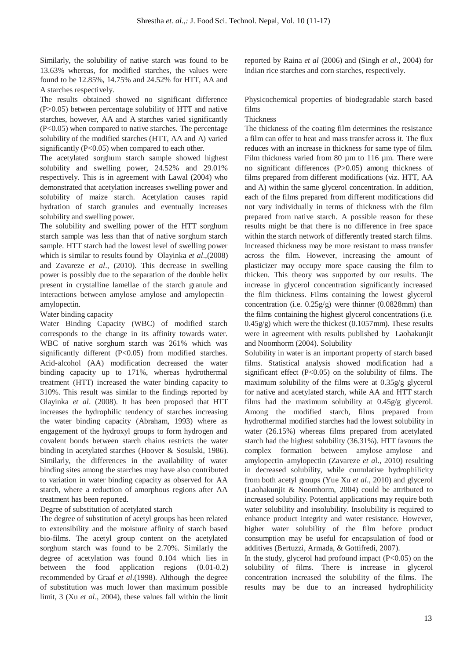Similarly, the solubility of native starch was found to be 13.63% whereas, for modified starches, the values were found to be 12.85%, 14.75% and 24.52% for HTT, AA and A starches respectively.

The results obtained showed no significant difference (P>0.05) between percentage solubility of HTT and native starches, however, AA and A starches varied significantly (P<0.05) when compared to native starches. The percentage solubility of the modified starches (HTT, AA and A) varied significantly (P<0.05) when compared to each other.

The acetylated sorghum starch sample showed highest solubility and swelling power, 24.52% and 29.01% respectively. This is in agreement with [Lawal \(2004\)](#page-5-14) who demonstrated that acetylation increases swelling power and solubility of maize starch. Acetylation causes rapid hydration of starch granules and eventually increases solubility and swelling power.

The solubility and swelling power of the HTT sorghum starch sample was less than that of native sorghum starch sample. HTT starch had the lowest level of swelling power which is similar to results found by Olayinka *et al*.,[\(2008\)](#page-6-1) and Zavareze *et al*., [\(2010\)](#page-6-10). This decrease in swelling power is possibly due to the separation of the double helix present in crystalline lamellae of the starch granule and interactions between amylose–amylose and amylopectin– amylopectin.

Water binding capacity

Water Binding Capacity (WBC) of modified starch corresponds to the change in its affinity towards water. WBC of native sorghum starch was 261% which was significantly different (P<0.05) from modified starches. Acid-alcohol (AA) modification decreased the water binding capacity up to 171%, whereas hydrothermal treatment (HTT) increased the water binding capacity to 310%. This result was similar to the findings reported by Olayinka *et al*. [\(2008\)](#page-6-1). It has been proposed that HTT increases the hydrophilic tendency of starches increasing the water binding capacity [\(Abraham, 1993\)](#page-5-15) where as engagement of the hydroxyl groups to form hydrogen and covalent bonds between starch chains restricts the water binding in acetylated starches [\(Hoover & Sosulski, 1986\)](#page-5-16). Similarly, the differences in the availability of water binding sites among the starches may have also contributed to variation in water binding capacity as observed for AA starch, where a reduction of amorphous regions after AA treatment has been reported.

#### Degree of substitution of acetylated starch

The degree of substitution of acetyl groups has been related to extensibility and the moisture affinity of starch based bio-films. The acetyl group content on the acetylated sorghum starch was found to be 2.70%. Similarly the degree of acetylation was found 0.104 which lies in between the food application regions (0.01-0.2) recommended by Graaf *et al*.[\(1998\)](#page-5-17). Although the degree of substitution was much lower than maximum possible limit, 3 (Xu *et al*[., 2004\)](#page-6-11), these values fall within the limit reported by Raina *et al* [\(2006\)](#page-6-12) and (Singh *et al*[., 2004\)](#page-6-2) for Indian rice starches and corn starches, respectively.

Physicochemical properties of biodegradable starch based films

#### Thickness

The thickness of the coating film determines the resistance a film can offer to heat and mass transfer across it. The flux reduces with an increase in thickness for same type of film. Film thickness varied from 80 µm to 116 µm. There were no significant differences (P>0.05) among thickness of films prepared from different modifications (viz. HTT, AA and A) within the same glycerol concentration. In addition, each of the films prepared from different modifications did not vary individually in terms of thickness with the film prepared from native starch. A possible reason for these results might be that there is no difference in free space within the starch network of differently treated starch films. Increased thickness may be more resistant to mass transfer across the film. However, increasing the amount of plasticizer may occupy more space causing the film to thicken. This theory was supported by our results. The increase in glycerol concentration significantly increased the film thickness. Films containing the lowest glycerol concentration (i.e. 0.25g/g) were thinner (0.0828mm) than the films containing the highest glycerol concentrations (i.e. 0.45g/g) which were the thickest (0.1057mm). These results were in agreement with results published by Laohakunjit and Noomhorm [\(2004\)](#page-5-18). Solubility

Solubility in water is an important property of starch based films. Statistical analysis showed modification had a significant effect  $(P<0.05)$  on the solubility of films. The maximum solubility of the films were at 0.35g/g glycerol for native and acetylated starch, while AA and HTT starch films had the maximum solubility at 0.45g/g glycerol. Among the modified starch, films prepared from hydrothermal modified starches had the lowest solubility in water (26.15%) whereas films prepared from acetylated starch had the highest solubility (36.31%). HTT favours the complex formation between amylose–amylose and amylopectin–amylopectin [\(Zavareze](#page-6-10) *et a*l., 2010) resulting in decreased solubility, while cumulative hydrophilicity from both acetyl groups [\(Yue Xu](#page-6-13) *et al*., 2010) and glycerol [\(Laohakunjit & Noomhorm, 2004\)](#page-5-18) could be attributed to increased solubility. Potential applications may require both water solubility and insolubility. Insolubility is required to enhance product integrity and water resistance. However, higher water solubility of the film before product consumption may be useful for encapsulation of food or additives [\(Bertuzzi, Armada, & Gottifredi, 2007\)](#page-5-19).

In the study, glycerol had profound impact  $(P<0.05)$  on the solubility of films. There is increase in glycerol concentration increased the solubility of the films. The results may be due to an increased hydrophilicity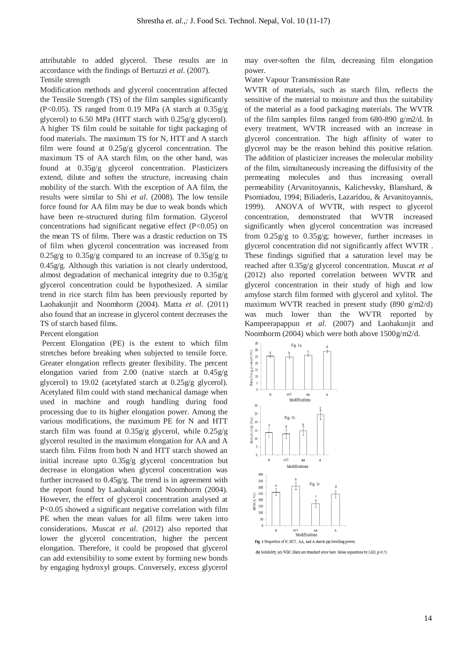attributable to added glycerol. These results are in accordance with the findings of Bertuzzi *et al*. [\(2007\)](#page-5-19). Tensile strength

Modification methods and glycerol concentration affected the Tensile Strength (TS) of the film samples significantly (P<0.05). TS ranged from 0.19 MPa (A starch at  $0.35g/g$ glycerol) to 6.50 MPa (HTT starch with 0.25g/g glycerol). A higher TS film could be suitable for tight packaging of food materials. The maximum TS for N, HTT and A starch film were found at 0.25g/g glycerol concentration. The maximum TS of AA starch film, on the other hand, was found at 0.35g/g glycerol concentration. Plasticizers extend, dilute and soften the structure, increasing chain mobility of the starch. With the exception of AA film, the results were similar to Shi *et al*. [\(2008\)](#page-6-14). The low tensile force found for AA film may be due to weak bonds which have been re-structured during film formation. Glycerol concentrations had significant negative effect (P<0.05) on the mean TS of films. There was a drastic reduction on TS of film when glycerol concentration was increased from  $0.25g/g$  to  $0.35g/g$  compared to an increase of  $0.35g/g$  to 0.45g/g. Although this variation is not clearly understood, almost degradation of mechanical integrity due to 0.35g/g glycerol concentration could be hypothesized. A similar trend in rice starch film has been previously reported by Laohakunjit and Noomhorm [\(2004\)](#page-5-18). Matta *et al*. [\(2011\)](#page-6-15) also found that an increase in glycerol content decreases the TS of starch based films.

#### Percent elongation

Percent Elongation (PE) is the extent to which film stretches before breaking when subjected to tensile force. Greater elongation reflects greater flexibility. The percent elongation varied from 2.00 (native starch at 0.45g/g glycerol) to 19.02 (acetylated starch at 0.25g/g glycerol). Acetylated film could with stand mechanical damage when used in machine and rough handling during food processing due to its higher elongation power. Among the various modifications, the maximum PE for N and HTT starch film was found at 0.35g/g glycerol, while 0.25g/g glycerol resulted in the maximum elongation for AA and A starch film. Films from both N and HTT starch showed an initial increase upto 0.35g/g glycerol concentration but decrease in elongation when glycerol concentration was further increased to 0.45g/g. The trend is in agreement with the report found by Laohakunjit and Noomhorm [\(2004\)](#page-5-18). However, the effect of glycerol concentration analysed at P<0.05 showed a significant negative correlation with film PE when the mean values for all films were taken into considerations. Muscat *et al*. [\(2012\)](#page-6-16) also reported that lower the glycerol concentration, higher the percent elongation. Therefore, it could be proposed that glycerol can add extensibility to some extent by forming new bonds by engaging hydroxyl groups. Conversely, excess glycerol may over-soften the film, decreasing film elongation power.

Water Vapour Transmission Rate

WVTR of materials, such as starch film, reflects the sensitive of the material to moisture and thus the suitability of the material as a food packaging materials. The WVTR of the film samples films ranged from 680-890 g/m2/d. In every treatment, WVTR increased with an increase in glycerol concentration. The high affinity of water to glycerol may be the reason behind this positive relation. The addition of plasticizer increases the molecular mobility of the film, simultaneously increasing the diffusivity of the permeating molecules and thus increasing overall permeability [\(Arvanitoyannis, Kalichevsky, Blanshard, &](#page-5-20)  [Psomiadou, 1994;](#page-5-20) [Biliaderis, Lazaridou, & Arvanitoyannis,](#page-5-21)  [1999\)](#page-5-21). ANOVA of WVTR, with respect to glycerol concentration, demonstrated that WVTR increased significantly when glycerol concentration was increased from  $0.25g/g$  to  $0.35g/g$ ; however, further increases in glycerol concentration did not significantly affect WVTR . These findings signified that a saturation level may be reached after 0.35g/g glycerol concentration. Muscat *et al*  [\(2012\)](#page-6-16) also reported correlation between WVTR and glycerol concentration in their study of high and low amylose starch film formed with glycerol and xylitol. The maximum WVTR reached in present study (890 g/m2/d) was much lower than the WVTR reported by [Kampeerapappun](#page-5-5) *et al*. (2007) and Laohakunjit and Noomhorm [\(2004\)](#page-5-18) which were both above 1500g/m2/d.



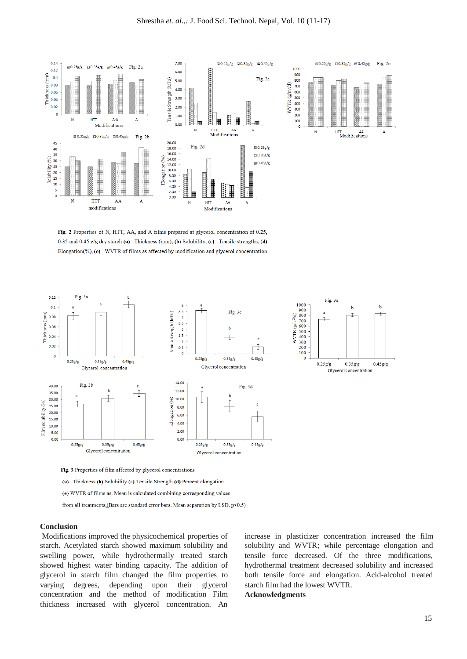



Fig. 2 Properties of N, HTT, AA, and A films prepared at glycerol concentration of 0.25, 0.35 and 0.45 g/g dry starch (a) Thickness (mm), (b) Solubility, (c) Tensile strengths, (d) Elongation(%), (e) WVTR of films as affected by modification and glycerol concentration





Fig. 3 Properties of film affected by glycerol concentrations

(a) Thickness (b) Solubility (c) Tensile Strength (d) Percent elongation

(e) WVTR of films as. Mean is calculated combining corresponding values

from all treatments.(Bars are standard error bars. Mean separation by LSD, p<0.5)

#### **Conclusion**

Modifications improved the physicochemical properties of starch. Acetylated starch showed maximum solubility and swelling power, while hydrothermally treated starch showed highest water binding capacity. The addition of glycerol in starch film changed the film properties to varying degrees, depending upon their glycerol concentration and the method of modification Film thickness increased with glycerol concentration. An

increase in plasticizer concentration increased the film solubility and WVTR; while percentage elongation and tensile force decreased. Of the three modifications, hydrothermal treatment decreased solubility and increased both tensile force and elongation. Acid-alcohol treated starch film had the lowest WVTR.

#### **Acknowledgments**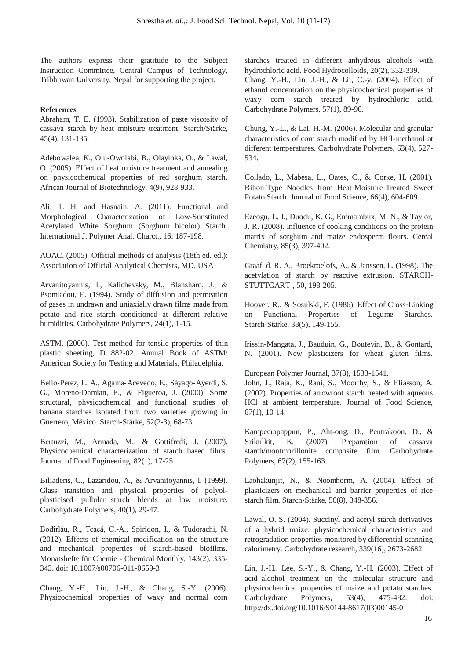The authors express their gratitude to the Subject Instruction Committee, Central Campus of Technology, Tribhuwan University, Nepal for supporting the project.

## **References**

<span id="page-5-15"></span>Abraham, T. E. (1993). Stabilization of paste viscosity of cassava starch by heat moisture treatment. Starch/Stärke, 45(4), 131-135.

<span id="page-5-7"></span>Adebowalea, K., Olu-Owolabi, B., Olayinka, O., & Lawal, O. (2005). Effect of heat moisture treatment and annealing on physicochemical properties of red sorghum starch. African Journal of Biotechnology, 4(9), 928-933.

Ali, T. H. and Hasnain, A. (2011). Functional and Morphological Characterization of Low-Sunstituted Acetylated White Sorghum (Sorghum bicolor) Starch. International J. Polymer Anal. Charct., 16: 187-198.

<span id="page-5-8"></span>AOAC. (2005). Official methods of analysis (18th ed. ed.): Association of Official Analytical Chemists, MD, USA

<span id="page-5-20"></span>Arvanitoyannis, I., Kalichevsky, M., Blanshard, J., & Psomiadou, E. (1994). Study of diffusion and permeation of gases in undrawn and uniaxially drawn films made from potato and rice starch conditioned at different relative humidities. Carbohydrate Polymers, 24(1), 1-15.

<span id="page-5-13"></span>ASTM. (2006). Test method for tensile properties of thin plastic sheeting, D 882-02. Annual Book of ASTM: American Society for Testing and Materials, Philadelphia.

<span id="page-5-10"></span>Bello‐Pérez, L. A., Agama‐Acevedo, E., Sáyago‐Ayerdi, S. G., Moreno‐Damian, E., & Figueroa, J. (2000). Some structural, physicochemical and functional studies of banana starches isolated from two varieties growing in Guerrero, México. Starch‐Stärke, 52(2‐3), 68-73.

<span id="page-5-19"></span>Bertuzzi, M., Armada, M., & Gottifredi, J. (2007). Physicochemical characterization of starch based films. Journal of Food Engineering, 82(1), 17-25.

<span id="page-5-21"></span>Biliaderis, C., Lazaridou, A., & Arvanitoyannis, I. (1999). Glass transition and physical properties of polyolplasticised pullulan–starch blends at low moisture. Carbohydrate Polymers, 40(1), 29-47.

<span id="page-5-0"></span>Bodîrlău, R., Teacă, C.-A., Spiridon, I., & Tudorachi, N. (2012). Effects of chemical modification on the structure and mechanical properties of starch-based biofilms. Monatshefte für Chemie - Chemical Monthly, 143(2), 335- 343. doi: 10.1007/s00706-011-0659-3

<span id="page-5-11"></span>Chang, Y.-H., Lin, J.-H., & Chang, S.-Y. (2006). Physicochemical properties of waxy and normal corn starches treated in different anhydrous alcohols with hydrochloric acid. Food Hydrocolloids, 20(2), 332-339.

<span id="page-5-2"></span>Chang, Y.-H., Lin, J.-H., & Lii, C.-y. (2004). Effect of ethanol concentration on the physicochemical properties of waxy corn starch treated by hydrochloric acid. Carbohydrate Polymers, 57(1), 89-96.

<span id="page-5-1"></span>Chung, Y.-L., & Lai, H.-M. (2006). Molecular and granular characteristics of corn starch modified by HCl-methanol at different temperatures. Carbohydrate Polymers, 63(4), 527- 534.

<span id="page-5-9"></span>Collado, L., Mabesa, L., Oates, C., & Corke, H. (2001). Bihon‐Type Noodles from Heat‐Moisture‐Treated Sweet Potato Starch. Journal of Food Science, 66(4), 604-609.

<span id="page-5-6"></span>Ezeogu, L. I., Duodu, K. G., Emmambux, M. N., & Taylor, J. R. (2008). Influence of cooking conditions on the protein matrix of sorghum and maize endosperm flours. Cereal Chemistry, 85(3), 397-402.

<span id="page-5-17"></span>Graaf, d. R. A., Broekroelofs, A., & Janssen, L. (1998). The acetylation of starch by reactive extrusion. STARCH-STUTTGART-, 50, 198-205.

<span id="page-5-16"></span><span id="page-5-12"></span>Hoover, R., & Sosulski, F. (1986). Effect of Cross-Linking on Functional Properties of Legume Starches. Starch‐Stärke, 38(5), 149-155.

Irissin-Mangata, J., Bauduin, G., Boutevin, B., & Gontard, N. (2001). New plasticizers for wheat gluten films.

<span id="page-5-3"></span>European Polymer Journal, 37(8), 1533-1541. John, J., Raja, K., Rani, S., Moorthy, S., & Eliasson, A. (2002). Properties of arrowroot starch treated with aqueous HCl at ambient temperature. Journal of Food Science, 67(1), 10-14.

<span id="page-5-5"></span>Kampeerapappun, P., Aht-ong, D., Pentrakoon, D., & Srikulkit, K. (2007). Preparation of cassava starch/montmorillonite composite film. Carbohydrate Polymers, 67(2), 155-163.

<span id="page-5-18"></span>Laohakunjit, N., & Noomhorm, A. (2004). Effect of plasticizers on mechanical and barrier properties of rice starch film. Starch‐Stärke, 56(8), 348-356.

<span id="page-5-14"></span>Lawal, O. S. (2004). Succinyl and acetyl starch derivatives of a hybrid maize: physicochemical characteristics and retrogradation properties monitored by differential scanning calorimetry. Carbohydrate research, 339(16), 2673-2682.

<span id="page-5-4"></span>Lin, J.-H., Lee, S.-Y., & Chang, Y.-H. (2003). Effect of acid–alcohol treatment on the molecular structure and physicochemical properties of maize and potato starches. Carbohydrate Polymers, 53(4), 475-482. doi: [http://dx.doi.org/10.1016/S0144-8617\(03\)00145-0](http://dx.doi.org/10.1016/S0144-8617(03)00145-0)